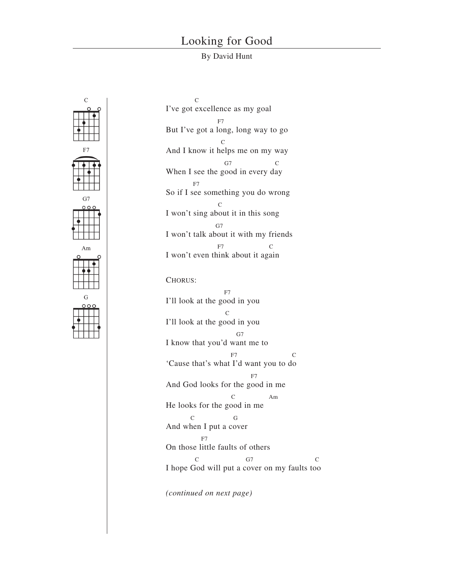## Looking for Good

## By David Hunt



 $\overline{C}$ I've got excellence as my goal F7 But I've got a long, long way to go  ${\bf C}$ And I know it helps me on my way  $G7$ When I see the good in every day F7 So if I see something you do wrong  $\mathcal{C}$ I won't sing about it in this song G<sub>7</sub> I won't talk about it with my friends  $F7$ I won't even think about it again CHORUS: F7 I'll look at the good in you  $\overline{C}$ I'll look at the good in you G7 I know that you'd want me to F7 C 'Cause that's what I'd want you to do F7 And God looks for the good in me Am He looks for the good in me C G

And when I put a cover

F7

On those little faults of others C G7 C

I hope God will put a cover on my faults too

*(continued on next page)*